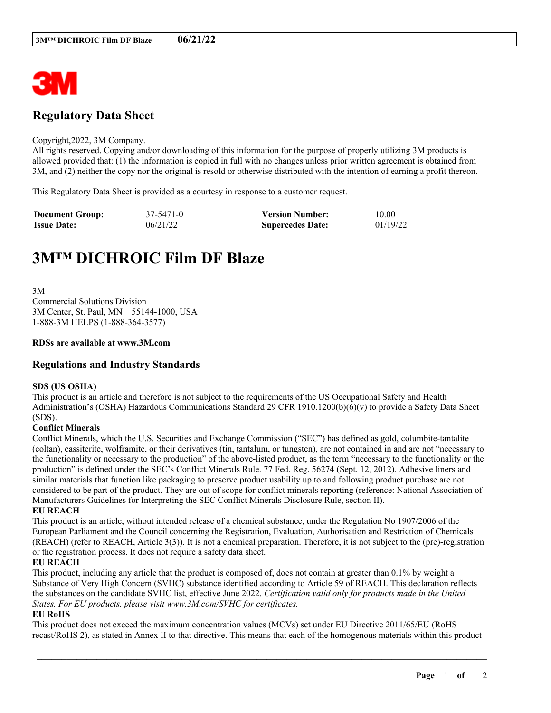

# **Regulatory Data Sheet**

#### Copyright,2022, 3M Company.

All rights reserved. Copying and/or downloading of this information for the purpose of properly utilizing 3M products is allowed provided that: (1) the information is copied in full with no changes unless prior written agreement is obtained from 3M, and (2) neither the copy nor the original is resold or otherwise distributed with the intention of earning a profit thereon.

This Regulatory Data Sheet is provided as a courtesy in response to a customer request.

| <b>Document Group:</b> | 37-5471-0 | <b>Version Number:</b>  | 10.00    |
|------------------------|-----------|-------------------------|----------|
| <b>Issue Date:</b>     | 06/21/22  | <b>Supercedes Date:</b> | 01/19/22 |

# **3M™ DICHROIC Film DF Blaze**

3M Commercial Solutions Division 3M Center, St. Paul, MN 55144-1000, USA 1-888-3M HELPS (1-888-364-3577)

#### **RDSs are available at www.3M.com**

## **Regulations and Industry Standards**

#### **SDS (US OSHA)**

This product is an article and therefore is not subject to the requirements of the US Occupational Safety and Health Administration's (OSHA) Hazardous Communications Standard 29 CFR 1910.1200(b)(6)(v) to provide a Safety Data Sheet (SDS).

### **Conflict Minerals**

Conflict Minerals, which the U.S. Securities and Exchange Commission ("SEC") has defined as gold, columbite-tantalite (coltan), cassiterite, wolframite, or their derivatives (tin, tantalum, or tungsten), are not contained in and are not "necessary to the functionality or necessary to the production" of the above-listed product, as the term "necessary to the functionality or the production" is defined under the SEC's Conflict Minerals Rule. 77 Fed. Reg. 56274 (Sept. 12, 2012). Adhesive liners and similar materials that function like packaging to preserve product usability up to and following product purchase are not considered to be part of the product. They are out of scope for conflict minerals reporting (reference: National Association of Manufacturers Guidelines for Interpreting the SEC Conflict Minerals Disclosure Rule, section II).

#### **EU REACH**

This product is an article, without intended release of a chemical substance, under the Regulation No 1907/2006 of the European Parliament and the Council concerning the Registration, Evaluation, Authorisation and Restriction of Chemicals (REACH) (refer to REACH, Article 3(3)). It is not a chemical preparation. Therefore, it is not subject to the (pre)-registration or the registration process. It does not require a safety data sheet.

#### **EU REACH**

This product, including any article that the product is composed of, does not contain at greater than 0.1% by weight a Substance of Very High Concern (SVHC) substance identified according to Article 59 of REACH. This declaration reflects the substances on the candidate SVHC list, effective June 2022. *Certification valid only for products made in the United States. For EU products, please visit www.3M.com/SVHC for certificates.*

#### **EU RoHS**

This product does not exceed the maximum concentration values (MCVs) set under EU Directive 2011/65/EU (RoHS recast/RoHS 2), as stated in Annex II to that directive. This means that each of the homogenous materials within this product

\_\_\_\_\_\_\_\_\_\_\_\_\_\_\_\_\_\_\_\_\_\_\_\_\_\_\_\_\_\_\_\_\_\_\_\_\_\_\_\_\_\_\_\_\_\_\_\_\_\_\_\_\_\_\_\_\_\_\_\_\_\_\_\_\_\_\_\_\_\_\_\_\_\_\_\_\_\_\_\_\_\_\_\_\_\_\_\_\_\_